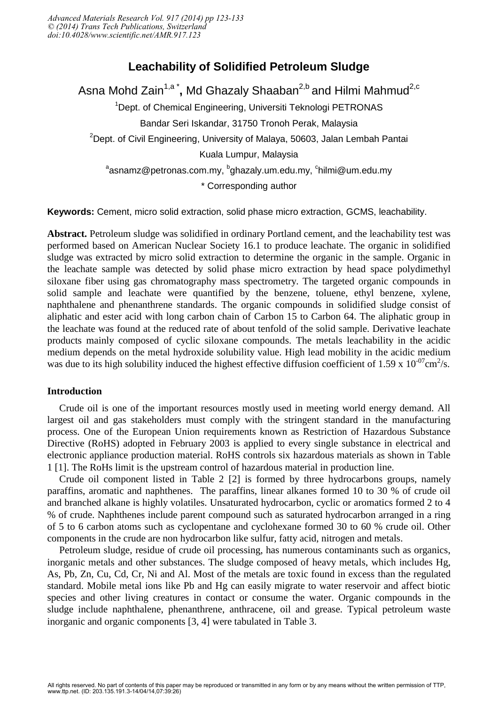# **Leachability of Solidified Petroleum Sludge**

Asna Mohd Zain<sup>1,a\*</sup>, Md Ghazaly Shaaban<sup>2,b</sup> and Hilmi Mahmud<sup>2,c</sup> <sup>1</sup>Dept. of Chemical Engineering, Universiti Teknologi PETRONAS Bandar Seri Iskandar, 31750 Tronoh Perak, Malaysia  $2$ Dept. of Civil Engineering, University of Malaya, 50603, Jalan Lembah Pantai Kuala Lumpur, Malaysia  $^{\rm a}$ asnamz@petronas.com.my,  $^{\rm b}$ ghazaly.um.edu.my,  $^{\rm c}$ hilmi@um.edu.my \* Corresponding author

**Keywords:** Cement, micro solid extraction, solid phase micro extraction, GCMS, leachability.

**Abstract.** Petroleum sludge was solidified in ordinary Portland cement, and the leachability test was performed based on American Nuclear Society 16.1 to produce leachate. The organic in solidified sludge was extracted by micro solid extraction to determine the organic in the sample. Organic in the leachate sample was detected by solid phase micro extraction by head space polydimethyl siloxane fiber using gas chromatography mass spectrometry. The targeted organic compounds in solid sample and leachate were quantified by the benzene, toluene, ethyl benzene, xylene, naphthalene and phenanthrene standards. The organic compounds in solidified sludge consist of aliphatic and ester acid with long carbon chain of Carbon 15 to Carbon 64. The aliphatic group in the leachate was found at the reduced rate of about tenfold of the solid sample. Derivative leachate products mainly composed of cyclic siloxane compounds. The metals leachability in the acidic medium depends on the metal hydroxide solubility value. High lead mobility in the acidic medium was due to its high solubility induced the highest effective diffusion coefficient of 1.59 x  $10^{-07}$ cm<sup>2</sup>/s.

# **Introduction**

Crude oil is one of the important resources mostly used in meeting world energy demand. All largest oil and gas stakeholders must comply with the stringent standard in the manufacturing process. One of the European Union requirements known as Restriction of Hazardous Substance Directive (RoHS) adopted in February 2003 is applied to every single substance in electrical and electronic appliance production material. RoHS controls six hazardous materials as shown in Table 1 [1]. The RoHs limit is the upstream control of hazardous material in production line.

Crude oil component listed in Table 2 [2] is formed by three hydrocarbons groups, namely paraffins, aromatic and naphthenes. The paraffins, linear alkanes formed 10 to 30 % of crude oil and branched alkane is highly volatiles. Unsaturated hydrocarbon, cyclic or aromatics formed 2 to 4 % of crude. Naphthenes include parent compound such as saturated hydrocarbon arranged in a ring of 5 to 6 carbon atoms such as cyclopentane and cyclohexane formed 30 to 60 % crude oil. Other components in the crude are non hydrocarbon like sulfur, fatty acid, nitrogen and metals.

Petroleum sludge, residue of crude oil processing, has numerous contaminants such as organics, inorganic metals and other substances. The sludge composed of heavy metals, which includes Hg, As, Pb, Zn, Cu, Cd, Cr, Ni and Al. Most of the metals are toxic found in excess than the regulated standard. Mobile metal ions like Pb and Hg can easily migrate to water reservoir and affect biotic species and other living creatures in contact or consume the water. Organic compounds in the sludge include naphthalene, phenanthrene, anthracene, oil and grease. Typical petroleum waste inorganic and organic components [3, 4] were tabulated in Table 3.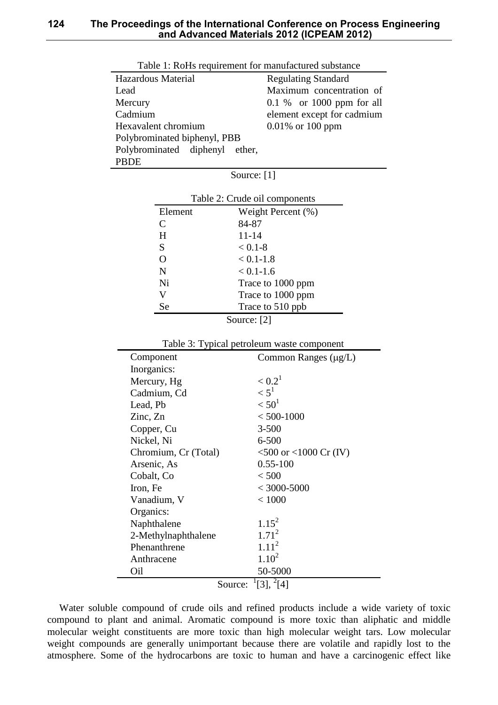| Table 1: ROHS requirement for manufactured substance |                             |
|------------------------------------------------------|-----------------------------|
| Hazardous Material                                   | <b>Regulating Standard</b>  |
| Lead                                                 | Maximum concentration of    |
| Mercury                                              | $0.1\%$ or 1000 ppm for all |
| Cadmium                                              | element except for cadmium  |
| Hexavalent chromium                                  | $0.01\%$ or 100 ppm         |
| Polybrominated biphenyl, PBB                         |                             |
| Polybrominated diphenyl<br>ether.                    |                             |
| <b>PBDE</b>                                          |                             |
| Source: $[1]$                                        |                             |

| Table 1: RoHs requirement for manufactured substance |  |
|------------------------------------------------------|--|
|------------------------------------------------------|--|

| Table 2: Crude oil components |                    |  |
|-------------------------------|--------------------|--|
| Element                       | Weight Percent (%) |  |
| C                             | 84-87              |  |
| H                             | $11 - 14$          |  |
| S                             | $< 0.1 - 8$        |  |
| O                             | $< 0.1 - 1.8$      |  |
| N                             | $< 0.1 - 1.6$      |  |
| Ni                            | Trace to 1000 ppm  |  |
| V                             | Trace to 1000 ppm  |  |
| Se                            | Trace to 510 ppb   |  |
| ררי ה                         |                    |  |

Source: [2]

Table 3: Typical petroleum waste component

| Component                     | Common Ranges $(\mu g/L)$   |  |
|-------------------------------|-----------------------------|--|
| Inorganics:                   |                             |  |
| Mercury, Hg                   | $< 0.2^1$                   |  |
| Cadmium, Cd                   | $\leq 5^1$                  |  |
| Lead, Pb                      | < 50 <sup>1</sup>           |  |
| Zinc, Zn                      | $< 500 - 1000$              |  |
| Copper, Cu                    | $3 - 500$                   |  |
| Nickel, Ni                    | $6 - 500$                   |  |
| Chromium, Cr (Total)          | $<$ 500 or $<$ 1000 Cr (IV) |  |
| Arsenic, As                   | $0.55 - 100$                |  |
| Cobalt, Co                    | < 500                       |  |
| Iron, Fe                      | $<$ 3000-5000               |  |
| Vanadium, V                   | < 1000                      |  |
| Organics:                     |                             |  |
| Naphthalene                   | $1.15^2$                    |  |
| 2-Methylnaphthalene           | $1.71^2$                    |  |
| Phenanthrene                  | 1.11 <sup>2</sup>           |  |
| Anthracene                    | $1.10^2$                    |  |
| Oil                           | 50-5000                     |  |
| $[3], \frac{2}{4}$<br>Source: |                             |  |

Water soluble compound of crude oils and refined products include a wide variety of toxic compound to plant and animal. Aromatic compound is more toxic than aliphatic and middle molecular weight constituents are more toxic than high molecular weight tars. Low molecular weight compounds are generally unimportant because there are volatile and rapidly lost to the atmosphere. Some of the hydrocarbons are toxic to human and have a carcinogenic effect like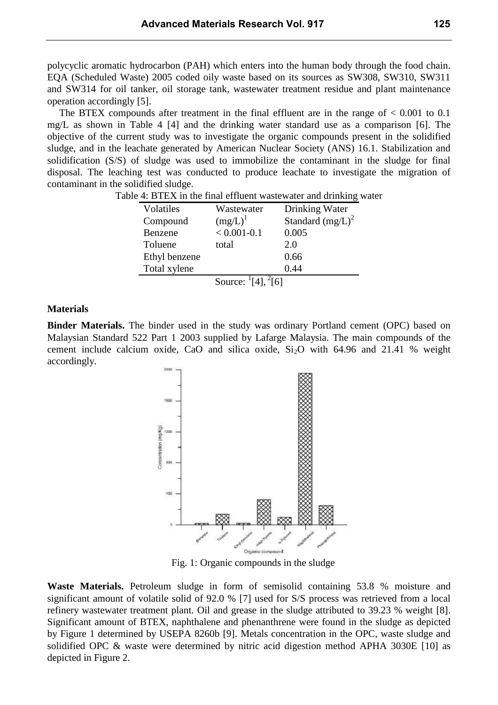polycyclic aromatic hydrocarbon (PAH) which enters into the human body through the food chain. EQA (Scheduled Waste) 2005 coded oily waste based on its sources as SW308, SW310, SW311 and SW314 for oil tanker, oil storage tank, wastewater treatment residue and plant maintenance operation accordingly [5].

The BTEX compounds after treatment in the final effluent are in the range of  $< 0.001$  to 0.1 mg/L as shown in Table 4 [4] and the drinking water standard use as a comparison [6]. The objective of the current study was to investigate the organic compounds present in the solidified sludge, and in the leachate generated by American Nuclear Society (ANS) 16.1. Stabilization and solidification (S/S) of sludge was used to immobilize the contaminant in the sludge for final disposal. The leaching test was conducted to produce leachate to investigate the migration of contaminant in the solidified sludge.

| Volatiles     | Wastewater                                    | Drinking Water      |  |
|---------------|-----------------------------------------------|---------------------|--|
| Compound      | $(mg/L)^{1}$                                  | Standard $(mg/L)^2$ |  |
| Benzene       | $< 0.001 - 0.1$                               | 0.005               |  |
| Toluene       | total                                         | 2.0                 |  |
| Ethyl benzene |                                               | 0.66                |  |
| Total xylene  |                                               | 0.44                |  |
|               | Source: $\frac{1}{4}$ [4], $\frac{2}{16}$ [6] |                     |  |

Table 4: BTEX in the final effluent wastewater and drinking water

## **Materials**

**Binder Materials.** The binder used in the study was ordinary Portland cement (OPC) based on Malaysian Standard 522 Part 1 2003 supplied by Lafarge Malaysia. The main compounds of the cement include calcium oxide, CaO and silica oxide,  $Si<sub>2</sub>O$  with 64.96 and 21.41 % weight accordingly.



Fig. 1: Organic compounds in the sludge

**Waste Materials.** Petroleum sludge in form of semisolid containing 53.8 % moisture and significant amount of volatile solid of 92.0 % [7] used for S/S process was retrieved from a local refinery wastewater treatment plant. Oil and grease in the sludge attributed to 39.23 % weight [8]. Significant amount of BTEX, naphthalene and phenanthrene were found in the sludge as depicted by Figure 1 determined by USEPA 8260b [9]. Metals concentration in the OPC, waste sludge and solidified OPC & waste were determined by nitric acid digestion method APHA 3030E [10] as depicted in Figure 2.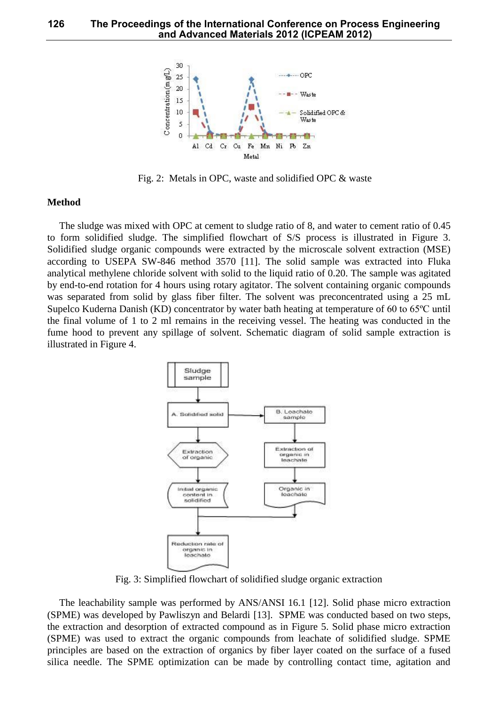

Fig. 2: Metals in OPC, waste and solidified OPC & waste

#### **Method**

The sludge was mixed with OPC at cement to sludge ratio of 8, and water to cement ratio of 0.45 to form solidified sludge. The simplified flowchart of S/S process is illustrated in Figure 3. Solidified sludge organic compounds were extracted by the microscale solvent extraction (MSE) according to USEPA SW-846 method 3570 [11]. The solid sample was extracted into Fluka analytical methylene chloride solvent with solid to the liquid ratio of 0.20. The sample was agitated by end-to-end rotation for 4 hours using rotary agitator. The solvent containing organic compounds was separated from solid by glass fiber filter. The solvent was preconcentrated using a 25 mL Supelco Kuderna Danish (KD) concentrator by water bath heating at temperature of 60 to 65ºC until the final volume of 1 to 2 ml remains in the receiving vessel. The heating was conducted in the fume hood to prevent any spillage of solvent. Schematic diagram of solid sample extraction is illustrated in Figure 4.



Fig. 3: Simplified flowchart of solidified sludge organic extraction

The leachability sample was performed by ANS/ANSI 16.1 [12]. Solid phase micro extraction (SPME) was developed by Pawliszyn and Belardi [13]. SPME was conducted based on two steps, the extraction and desorption of extracted compound as in Figure 5. Solid phase micro extraction (SPME) was used to extract the organic compounds from leachate of solidified sludge. SPME principles are based on the extraction of organics by fiber layer coated on the surface of a fused silica needle. The SPME optimization can be made by controlling contact time, agitation and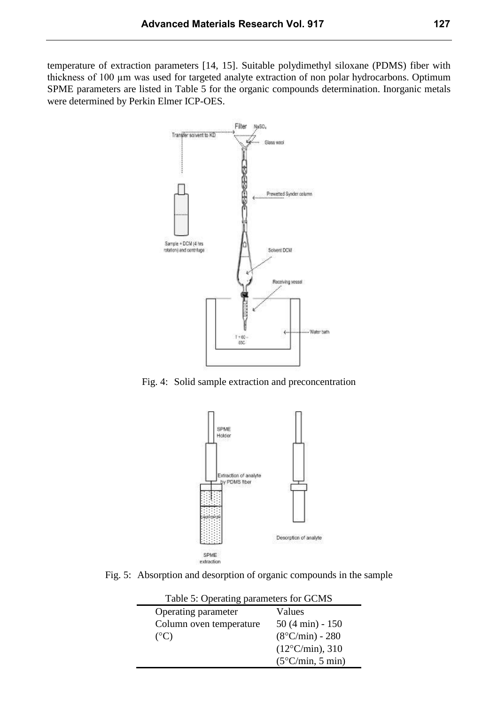temperature of extraction parameters [14, 15]. Suitable polydimethyl siloxane (PDMS) fiber with thickness of 100 µm was used for targeted analyte extraction of non polar hydrocarbons. Optimum SPME parameters are listed in Table 5 for the organic compounds determination. Inorganic metals were determined by Perkin Elmer ICP-OES.



Fig. 4: Solid sample extraction and preconcentration



Fig. 5: Absorption and desorption of organic compounds in the sample

| Lable 5. Operating parameters for OCMS |                           |
|----------------------------------------|---------------------------|
| Operating parameter                    | Values                    |
| Column oven temperature                | $50(4 \text{ min}) - 150$ |
| $(C^{\circ}C)$                         | $(8^{\circ}C/min) - 280$  |
|                                        | $(12^{\circ}C/min)$ , 310 |
|                                        | $(5^{\circ}C/min, 5 min)$ |

Table 5: Operating parameters for GCMS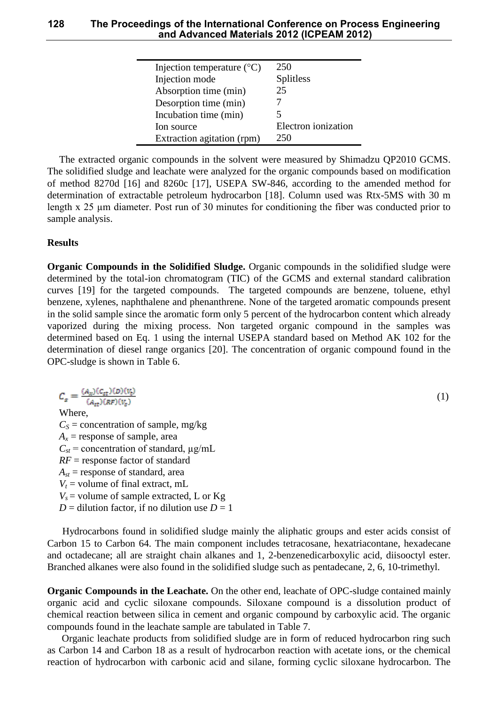### **128 The Proceedings of the International Conference on Process Engineering and Advanced Materials 2012 (ICPEAM 2012)**

| Injection temperature $({}^{\circ}C)$ | 250                 |
|---------------------------------------|---------------------|
| Injection mode                        | <b>Splitless</b>    |
| Absorption time (min)                 | 25                  |
| Desorption time (min)                 |                     |
| Incubation time (min)                 |                     |
| Ion source                            | Electron ionization |
| Extraction agitation (rpm)            | 250                 |

The extracted organic compounds in the solvent were measured by Shimadzu QP2010 GCMS. The solidified sludge and leachate were analyzed for the organic compounds based on modification of method 8270d [16] and 8260c [17], USEPA SW-846, according to the amended method for determination of extractable petroleum hydrocarbon [18]. Column used was Rtx-5MS with 30 m length x 25 µm diameter. Post run of 30 minutes for conditioning the fiber was conducted prior to sample analysis.

# **Results**

**Organic Compounds in the Solidified Sludge.** Organic compounds in the solidified sludge were determined by the total-ion chromatogram (TIC) of the GCMS and external standard calibration curves [19] for the targeted compounds. The targeted compounds are benzene, toluene, ethyl benzene, xylenes, naphthalene and phenanthrene. None of the targeted aromatic compounds present in the solid sample since the aromatic form only 5 percent of the hydrocarbon content which already vaporized during the mixing process. Non targeted organic compound in the samples was determined based on Eq. 1 using the internal USEPA standard based on Method AK 102 for the determination of diesel range organics [20]. The concentration of organic compound found in the OPC-sludge is shown in Table 6.

 $(1)$ Where,  $C_s$  = concentration of sample, mg/kg  $A_x$  = response of sample, area  $C_{st}$  = concentration of standard,  $\mu$ g/mL *RF* = response factor of standard  $A_{st}$  = response of standard, area  $V_t$  = volume of final extract, mL  $V_s$  = volume of sample extracted, L or Kg  $D =$  dilution factor, if no dilution use  $D = 1$ 

Hydrocarbons found in solidified sludge mainly the aliphatic groups and ester acids consist of Carbon 15 to Carbon 64. The main component includes tetracosane, hexatriacontane, hexadecane and octadecane; all are straight chain alkanes and 1, 2-benzenedicarboxylic acid, diisooctyl ester. Branched alkanes were also found in the solidified sludge such as pentadecane, 2, 6, 10-trimethyl.

**Organic Compounds in the Leachate.** On the other end, leachate of OPC-sludge contained mainly organic acid and cyclic siloxane compounds. Siloxane compound is a dissolution product of chemical reaction between silica in cement and organic compound by carboxylic acid. The organic compounds found in the leachate sample are tabulated in Table 7.

Organic leachate products from solidified sludge are in form of reduced hydrocarbon ring such as Carbon 14 and Carbon 18 as a result of hydrocarbon reaction with acetate ions, or the chemical reaction of hydrocarbon with carbonic acid and silane, forming cyclic siloxane hydrocarbon. The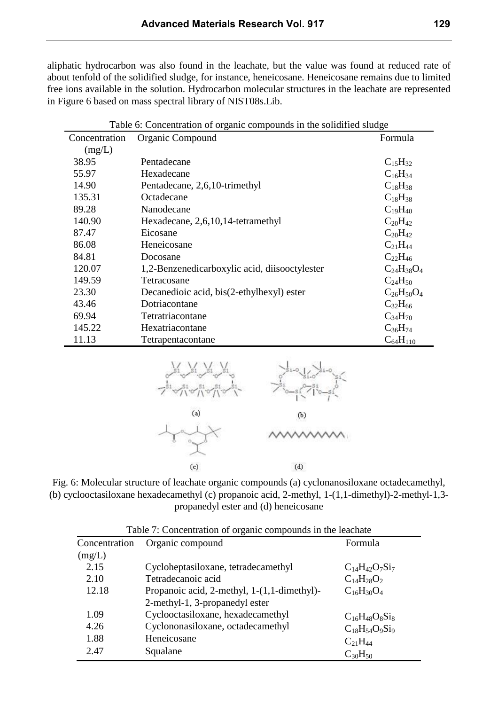aliphatic hydrocarbon was also found in the leachate, but the value was found at reduced rate of about tenfold of the solidified sludge, for instance, heneicosane. Heneicosane remains due to limited free ions available in the solution. Hydrocarbon molecular structures in the leachate are represented in Figure 6 based on mass spectral library of NIST08s.Lib.

| Table 6: Concentration of organic compounds in the solidified sludge |                                               |                   |
|----------------------------------------------------------------------|-----------------------------------------------|-------------------|
| Concentration                                                        | Organic Compound                              | Formula           |
| (mg/L)                                                               |                                               |                   |
| 38.95                                                                | Pentadecane                                   | $C_{15}H_{32}$    |
| 55.97                                                                | Hexadecane                                    | $C_{16}H_{34}$    |
| 14.90                                                                | Pentadecane, 2,6,10-trimethyl                 | $C_{18}H_{38}$    |
| 135.31                                                               | Octadecane                                    | $C_{18}H_{38}$    |
| 89.28                                                                | Nanodecane                                    | $C_{19}H_{40}$    |
| 140.90                                                               | Hexadecane, 2,6,10,14-tetramethyl             | $C_{20}H_{42}$    |
| 87.47                                                                | Eicosane                                      | $C_{20}H_{42}$    |
| 86.08                                                                | Heneicosane                                   | $C_{21}H_{44}$    |
| 84.81                                                                | Docosane                                      | $C_{22}H_{46}$    |
| 120.07                                                               | 1,2-Benzenedicarboxylic acid, diisooctylester | $C_{24}H_{38}O_4$ |
| 149.59                                                               | Tetracosane                                   | $C_{24}H_{50}$    |
| 23.30                                                                | Decanedioic acid, bis(2-ethylhexyl) ester     | $C_{26}H_{50}O_4$ |
| 43.46                                                                | Dotriacontane                                 | $C_{32}H_{66}$    |
| 69.94                                                                | Tetratriacontane                              | $C_{34}H_{70}$    |
| 145.22                                                               | Hexatriacontane                               | $C_{36}H_{74}$    |
| 11.13                                                                | Tetrapentacontane                             | $C_{64}H_{110}$   |



Fig. 6: Molecular structure of leachate organic compounds (a) cyclonanosiloxane octadecamethyl, (b) cyclooctasiloxane hexadecamethyl (c) propanoic acid, 2-methyl, 1-(1,1-dimethyl)-2-methyl-1,3 propanedyl ester and (d) heneicosane

| Table 7: Concentration of organic compounds in the leachate |                                             |                       |
|-------------------------------------------------------------|---------------------------------------------|-----------------------|
| Concentration                                               | Organic compound                            | Formula               |
| (mg/L)                                                      |                                             |                       |
| 2.15                                                        | Cycloheptasiloxane, tetradecamethyl         | $C_{14}H_{42}O_7Si_7$ |
| 2.10                                                        | Tetradecanoic acid                          | $C_{14}H_{28}O_2$     |
| 12.18                                                       | Propanoic acid, 2-methyl, 1-(1,1-dimethyl)- | $C_{16}H_{30}O_4$     |
|                                                             | 2-methyl-1, 3-propanedyl ester              |                       |
| 1.09                                                        | Cyclooctasiloxane, hexadecamethyl           | $C_{16}H_{48}O_8Si_8$ |
| 4.26                                                        | Cyclononasiloxane, octadecamethyl           | $C_{18}H_{54}O_9Si_9$ |
| 1.88                                                        | Heneicosane                                 | $C_{21}H_{44}$        |
| 2.47                                                        | Squalane                                    | $C_{30}H_{50}$        |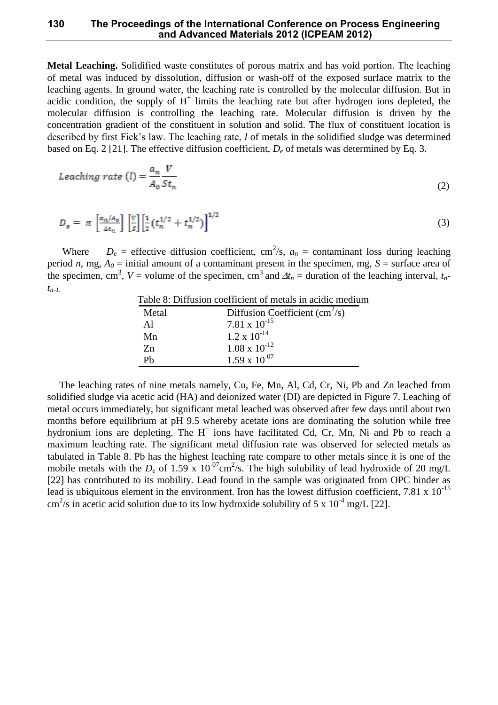### **130 The Proceedings of the International Conference on Process Engineering and Advanced Materials 2012 (ICPEAM 2012)**

**Metal Leaching.** Solidified waste constitutes of porous matrix and has void portion. The leaching of metal was induced by dissolution, diffusion or wash-off of the exposed surface matrix to the leaching agents. In ground water, the leaching rate is controlled by the molecular diffusion. But in acidic condition, the supply of  $H^+$  limits the leaching rate but after hydrogen ions depleted, the molecular diffusion is controlling the leaching rate. Molecular diffusion is driven by the concentration gradient of the constituent in solution and solid. The flux of constituent location is described by first Fick's law. The leaching rate, *l* of metals in the solidified sludge was determined based on Eq. 2 [21]. The effective diffusion coefficient, *D<sup>e</sup>* of metals was determined by Eq. 3.

$$
Learning\ rate\ (l) = \frac{a_n}{A_0} \frac{V}{St_n} \tag{2}
$$

$$
D_{\varrho} = \pi \left[ \frac{a_n / A_0}{\Delta t_n} \right] \left[ \frac{V}{s} \right] \left[ \frac{1}{2} \left( t_n^{1/2} + t_n^{1/2} \right) \right]^{1/2} \tag{3}
$$

Where  $D_e$  = effective diffusion coefficient, cm<sup>2</sup>/s,  $a_n$  = contaminant loss during leaching period *n*, mg,  $A_0$  = initial amount of a contaminant present in the specimen, mg,  $S$  = surface area of the specimen, cm<sup>3</sup>,  $V =$  volume of the specimen, cm<sup>3</sup> and  $\Delta t_n =$  duration of the leaching interval,  $t_n$ *tn-1.*

|       | Table 8: Diffusion coefficient of metals in acidic medium |
|-------|-----------------------------------------------------------|
| Metal | Diffusion Coefficient $\text{cm}^2\text{/s}$ )            |
| Al    | 7.81 x $10^{-15}$                                         |
| Mn    | $1.2 \times 10^{-14}$                                     |
| Zn    | $1.08 \times 10^{-12}$                                    |
| Рh    | $1.59 \times 10^{-07}$                                    |

The leaching rates of nine metals namely, Cu, Fe, Mn, Al, Cd, Cr, Ni, Pb and Zn leached from solidified sludge via acetic acid (HA) and deionized water (DI) are depicted in Figure 7. Leaching of metal occurs immediately, but significant metal leached was observed after few days until about two months before equilibrium at pH 9.5 whereby acetate ions are dominating the solution while free hydronium ions are depleting. The  $H^+$  ions have facilitated Cd, Cr, Mn, Ni and Pb to reach a maximum leaching rate. The significant metal diffusion rate was observed for selected metals as tabulated in Table 8. Pb has the highest leaching rate compare to other metals since it is one of the mobile metals with the  $D_e$  of 1.59 x  $10^{-07}$ cm<sup>2</sup>/s. The high solubility of lead hydroxide of 20 mg/L [22] has contributed to its mobility. Lead found in the sample was originated from OPC binder as lead is ubiquitous element in the environment. Iron has the lowest diffusion coefficient, 7.81 x  $10^{-15}$ cm<sup>2</sup>/s in acetic acid solution due to its low hydroxide solubility of 5 x 10<sup>-4</sup> mg/L [22].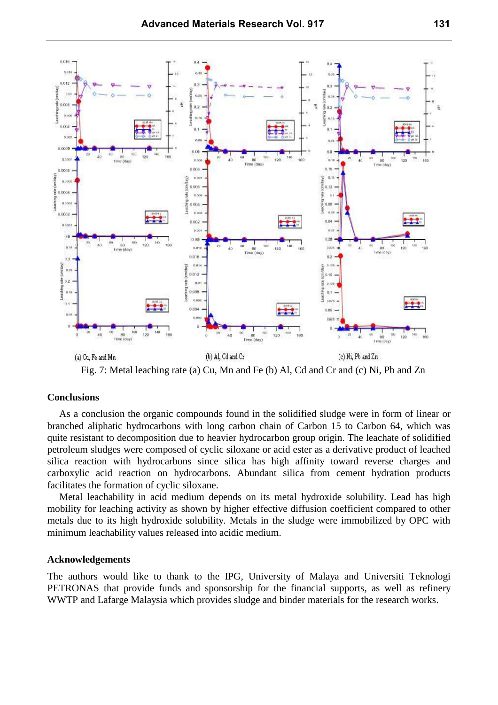

Fig. 7: Metal leaching rate (a) Cu, Mn and Fe (b) Al, Cd and Cr and (c) Ni, Pb and Zn

#### **Conclusions**

As a conclusion the organic compounds found in the solidified sludge were in form of linear or branched aliphatic hydrocarbons with long carbon chain of Carbon 15 to Carbon 64, which was quite resistant to decomposition due to heavier hydrocarbon group origin. The leachate of solidified petroleum sludges were composed of cyclic siloxane or acid ester as a derivative product of leached silica reaction with hydrocarbons since silica has high affinity toward reverse charges and carboxylic acid reaction on hydrocarbons. Abundant silica from cement hydration products facilitates the formation of cyclic siloxane.

Metal leachability in acid medium depends on its metal hydroxide solubility. Lead has high mobility for leaching activity as shown by higher effective diffusion coefficient compared to other metals due to its high hydroxide solubility. Metals in the sludge were immobilized by OPC with minimum leachability values released into acidic medium.

#### **Acknowledgements**

The authors would like to thank to the IPG, University of Malaya and Universiti Teknologi PETRONAS that provide funds and sponsorship for the financial supports, as well as refinery WWTP and Lafarge Malaysia which provides sludge and binder materials for the research works.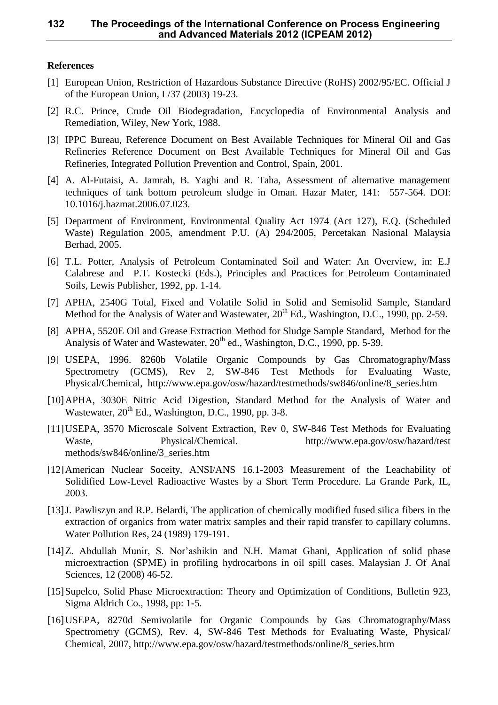## **References**

- [1] European Union, Restriction of Hazardous Substance Directive (RoHS) 2002/95/EC. Official J of the European Union, L/37 (2003) 19-23.
- [2] R.C. Prince, Crude Oil Biodegradation, Encyclopedia of Environmental Analysis and Remediation, Wiley, New York, 1988.
- [3] IPPC Bureau, Reference Document on Best Available Techniques for Mineral Oil and Gas Refineries Reference Document on Best Available Techniques for Mineral Oil and Gas Refineries, Integrated Pollution Prevention and Control, Spain, 2001.
- [4] A. Al-Futaisi, A. Jamrah, B. Yaghi and R. Taha, Assessment of alternative management techniques of tank bottom petroleum sludge in Oman. Hazar Mater, 141: 557-564. DOI: 10.1016/j.hazmat.2006.07.023.
- [5] Department of Environment, Environmental Quality Act 1974 (Act 127), E.Q. (Scheduled Waste) Regulation 2005, amendment P.U. (A) 294/2005, Percetakan Nasional Malaysia Berhad, 2005.
- [6] T.L. Potter, Analysis of Petroleum Contaminated Soil and Water: An Overview, in: E.J Calabrese and P.T. Kostecki (Eds.), Principles and Practices for Petroleum Contaminated Soils, Lewis Publisher, 1992, pp. 1-14.
- [7] APHA, 2540G Total, Fixed and Volatile Solid in Solid and Semisolid Sample, Standard Method for the Analysis of Water and Wastewater,  $20^{th}$  Ed., Washington, D.C., 1990, pp. 2-59.
- [8] APHA, 5520E Oil and Grease Extraction Method for Sludge Sample Standard, Method for the Analysis of Water and Wastewater, 20<sup>th</sup> ed., Washington, D.C., 1990, pp. 5-39.
- [9] USEPA, 1996. 8260b Volatile Organic Compounds by Gas Chromatography/Mass Spectrometry (GCMS), Rev 2, SW-846 Test Methods for Evaluating Waste, Physical/Chemical, http://www.epa.gov/osw/hazard/testmethods/sw846/online/8\_series.htm
- [10]APHA, 3030E Nitric Acid Digestion, Standard Method for the Analysis of Water and Wastewater,  $20^{th}$  Ed., Washington, D.C., 1990, pp. 3-8.
- [11]USEPA, 3570 Microscale Solvent Extraction, Rev 0, SW-846 Test Methods for Evaluating Waste, Physical/Chemical. http://www.epa.gov/osw/hazard/test methods/sw846/online/3\_series.htm
- [12]American Nuclear Soceity, ANSI/ANS 16.1-2003 Measurement of the Leachability of Solidified Low-Level Radioactive Wastes by a Short Term Procedure. La Grande Park, IL, 2003.
- [13] J. Pawliszyn and R.P. Belardi, The application of chemically modified fused silica fibers in the extraction of organics from water matrix samples and their rapid transfer to capillary columns. Water Pollution Res*,* 24 (1989) 179-191.
- [14]Z. Abdullah Munir, S. Nor'ashikin and N.H. Mamat Ghani, Application of solid phase microextraction (SPME) in profiling hydrocarbons in oil spill cases. Malaysian J. Of Anal Sciences, 12 (2008) 46-52.
- [15]Supelco, Solid Phase Microextraction: Theory and Optimization of Conditions, Bulletin 923, Sigma Aldrich Co., 1998, pp: 1-5.
- [16] USEPA, 8270d Semivolatile for Organic Compounds by Gas Chromatography/Mass Spectrometry (GCMS), Rev. 4, SW-846 Test Methods for Evaluating Waste, Physical/ Chemical, 2007, http://www.epa.gov/osw/hazard/testmethods/online/8\_series.htm